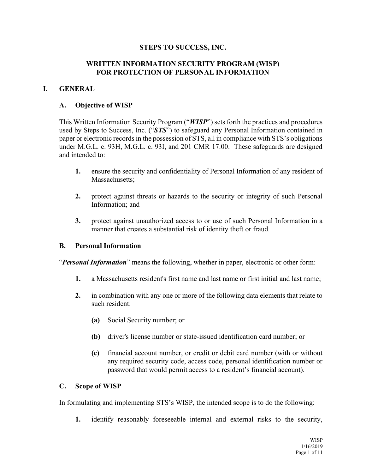### **STEPS TO SUCCESS, INC.**

### **WRITTEN INFORMATION SECURITY PROGRAM (WISP) FOR PROTECTION OF PERSONAL INFORMATION**

### **I. GENERAL**

### **A. Objective of WISP**

This Written Information Security Program ("*WISP*") sets forth the practices and procedures used by Steps to Success, Inc. ("STS") to safeguard any Personal Information contained in paper or electronic records in the possession of STS, all in compliance with STS's obligations under M.G.L. c. 93H, M.G.L. c. 93I, and 201 CMR 17.00. These safeguards are designed and intended to:

- **1.** ensure the security and confidentiality of Personal Information of any resident of Massachusetts:
- **2.** protect against threats or hazards to the security or integrity of such Personal Information; and
- **3.** protect against unauthorized access to or use of such Personal Information in a manner that creates a substantial risk of identity theft or fraud.

#### **B. Personal Information**

*Personal Information* means the following, whether in paper, electronic or other form:

- **1.** a Massachusetts resident's first name and last name or first initial and last name;
- **2.** in combination with any one or more of the following data elements that relate to such resident:
	- **(a)** Social Security number; or
	- **(b)** driver's license number or state-issued identification card number; or
	- **(c)** financial account number, or credit or debit card number (with or without any required security code, access code, personal identification number or password that would permit access to a resident's financial account).

#### **C. Scope of WISP**

In formulating and implementing STS's WISP, the intended scope is to do the following:

**1.** identify reasonably foreseeable internal and external risks to the security,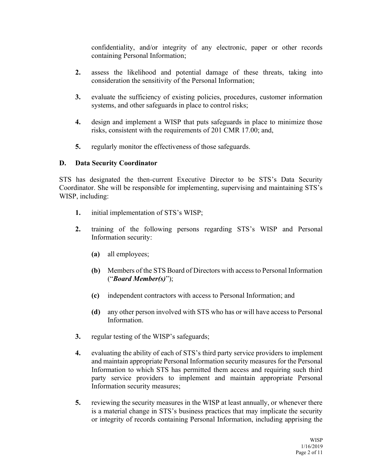confidentiality, and/or integrity of any electronic, paper or other records containing Personal Information;

- **2.** assess the likelihood and potential damage of these threats, taking into consideration the sensitivity of the Personal Information;
- **3.** evaluate the sufficiency of existing policies, procedures, customer information systems, and other safeguards in place to control risks;
- **4.** design and implement a WISP that puts safeguards in place to minimize those risks, consistent with the requirements of 201 CMR 17.00; and,
- **5.** regularly monitor the effectiveness of those safeguards.

## **D. Data Security Coordinator**

STS has designated the then-current Executive Director to be STS's Data Security Coordinator. She will be responsible for implementing, supervising and maintaining STS's WISP, including:

- **1.** initial implementation of STS's WISP;
- **2.** training of the following persons regarding STS's WISP and Personal Information security:
	- **(a)** all employees;
	- **(b)** Members of the STS Board of Directors with access to Personal Information (³*Board Member(s)*´);
	- **(c)** independent contractors with access to Personal Information; and
	- **(d)** any other person involved with STS who has or will have access to Personal Information.
- **3.** regular testing of the WISP's safeguards;
- **4.** evaluating the ability of each of STS's third party service providers to implement and maintain appropriate Personal Information security measures for the Personal Information to which STS has permitted them access and requiring such third party service providers to implement and maintain appropriate Personal Information security measures;
- **5.** reviewing the security measures in the WISP at least annually, or whenever there is a material change in STS's business practices that may implicate the security or integrity of records containing Personal Information, including apprising the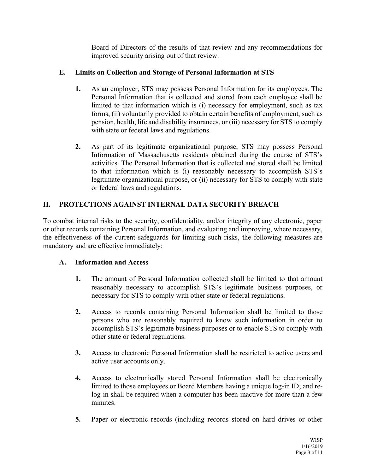Board of Directors of the results of that review and any recommendations for improved security arising out of that review.

## **E. Limits on Collection and Storage of Personal Information at STS**

- **1.** As an employer, STS may possess Personal Information for its employees. The Personal Information that is collected and stored from each employee shall be limited to that information which is (i) necessary for employment, such as tax forms, (ii) voluntarily provided to obtain certain benefits of employment, such as pension, health, life and disability insurances, or (iii) necessary for STS to comply with state or federal laws and regulations.
- **2.** As part of its legitimate organizational purpose, STS may possess Personal Information of Massachusetts residents obtained during the course of STS's activities. The Personal Information that is collected and stored shall be limited to that information which is (i) reasonably necessary to accomplish STS's legitimate organizational purpose, or (ii) necessary for STS to comply with state or federal laws and regulations.

# **II. PROTECTIONS AGAINST INTERNAL DATA SECURITY BREACH**

To combat internal risks to the security, confidentiality, and/or integrity of any electronic, paper or other records containing Personal Information, and evaluating and improving, where necessary, the effectiveness of the current safeguards for limiting such risks, the following measures are mandatory and are effective immediately:

# **A. Information and Access**

- **1.** The amount of Personal Information collected shall be limited to that amount reasonably necessary to accomplish STS's legitimate business purposes, or necessary for STS to comply with other state or federal regulations.
- **2.** Access to records containing Personal Information shall be limited to those persons who are reasonably required to know such information in order to accomplish STS's legitimate business purposes or to enable STS to comply with other state or federal regulations.
- **3.** Access to electronic Personal Information shall be restricted to active users and active user accounts only.
- **4.** Access to electronically stored Personal Information shall be electronically limited to those employees or Board Members having a unique log-in ID; and relog-in shall be required when a computer has been inactive for more than a few minutes.
- **5.** Paper or electronic records (including records stored on hard drives or other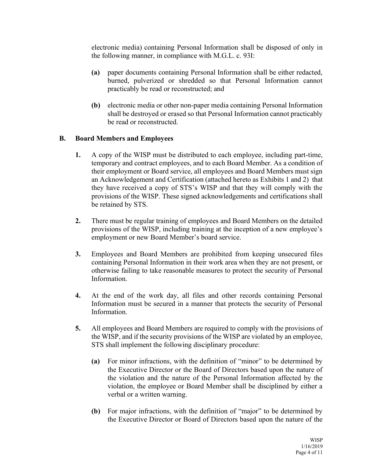electronic media) containing Personal Information shall be disposed of only in the following manner, in compliance with M.G.L. c. 93I:

- **(a)** paper documents containing Personal Information shall be either redacted, burned, pulverized or shredded so that Personal Information cannot practicably be read or reconstructed; and
- **(b)** electronic media or other non-paper media containing Personal Information shall be destroyed or erased so that Personal Information cannot practicably be read or reconstructed.

## **B. Board Members and Employees**

- **1.** A copy of the WISP must be distributed to each employee, including part-time, temporary and contract employees, and to each Board Member. As a condition of their employment or Board service, all employees and Board Members must sign an Acknowledgement and Certification (attached hereto as Exhibits 1 and 2) that they have received a copy of STS's WISP and that they will comply with the provisions of the WISP. These signed acknowledgements and certifications shall be retained by STS.
- **2.** There must be regular training of employees and Board Members on the detailed provisions of the WISP, including training at the inception of a new employee's employment or new Board Member's board service.
- **3.** Employees and Board Members are prohibited from keeping unsecured files containing Personal Information in their work area when they are not present, or otherwise failing to take reasonable measures to protect the security of Personal Information.
- **4.** At the end of the work day, all files and other records containing Personal Information must be secured in a manner that protects the security of Personal Information.
- **5.** All employees and Board Members are required to comply with the provisions of the WISP, and if the security provisions of the WISP are violated by an employee, STS shall implement the following disciplinary procedure:
	- **(a)** For minor infractions, with the definition of "minor" to be determined by the Executive Director or the Board of Directors based upon the nature of the violation and the nature of the Personal Information affected by the violation, the employee or Board Member shall be disciplined by either a verbal or a written warning.
	- **(b)** For major infractions, with the definition of "major" to be determined by the Executive Director or Board of Directors based upon the nature of the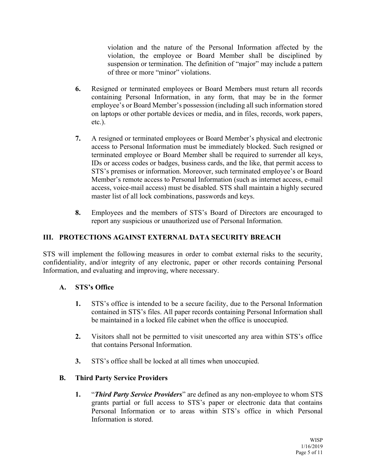violation and the nature of the Personal Information affected by the violation, the employee or Board Member shall be disciplined by suspension or termination. The definition of "major" may include a pattern of three or more "minor" violations.

- **6.** Resigned or terminated employees or Board Members must return all records containing Personal Information, in any form, that may be in the former employee's or Board Member's possession (including all such information stored on laptops or other portable devices or media, and in files, records, work papers, etc.).
- **7.** A resigned or terminated employees or Board Member's physical and electronic access to Personal Information must be immediately blocked. Such resigned or terminated employee or Board Member shall be required to surrender all keys, IDs or access codes or badges, business cards, and the like, that permit access to STS's premises or information. Moreover, such terminated employee's or Board Member's remote access to Personal Information (such as internet access, e-mail access, voice-mail access) must be disabled. STS shall maintain a highly secured master list of all lock combinations, passwords and keys.
- **8.** Employees and the members of STS's Board of Directors are encouraged to report any suspicious or unauthorized use of Personal Information.

## **III. PROTECTIONS AGAINST EXTERNAL DATA SECURITY BREACH**

STS will implement the following measures in order to combat external risks to the security, confidentiality, and/or integrity of any electronic, paper or other records containing Personal Information, and evaluating and improving, where necessary.

## A. **STS's Office**

- **1.** STS's office is intended to be a secure facility, due to the Personal Information contained in STS's files. All paper records containing Personal Information shall be maintained in a locked file cabinet when the office is unoccupied.
- **2.** Visitors shall not be permitted to visit unescorted any area within STS's office that contains Personal Information.
- **3.** STS's office shall be locked at all times when unoccupied.

## **B. Third Party Service Providers**

**1. "Third Party Service Providers**" are defined as any non-employee to whom STS grants partial or full access to STS's paper or electronic data that contains Personal Information or to areas within STS's office in which Personal Information is stored.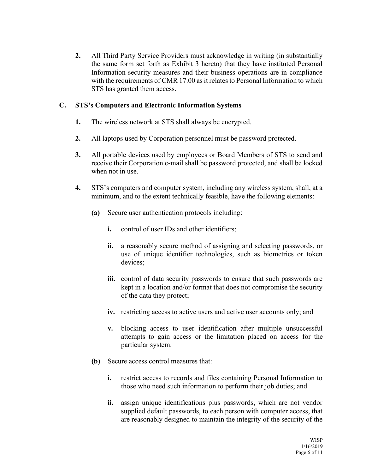**2.** All Third Party Service Providers must acknowledge in writing (in substantially the same form set forth as Exhibit 3 hereto) that they have instituted Personal Information security measures and their business operations are in compliance with the requirements of CMR 17.00 as it relates to Personal Information to which STS has granted them access.

## **C. STS's Computers and Electronic Information Systems**

- **1.** The wireless network at STS shall always be encrypted.
- **2.** All laptops used by Corporation personnel must be password protected.
- **3.** All portable devices used by employees or Board Members of STS to send and receive their Corporation e-mail shall be password protected, and shall be locked when not in use.
- **4.** STS's computers and computer system, including any wireless system, shall, at a minimum, and to the extent technically feasible, have the following elements:
	- **(a)** Secure user authentication protocols including:
		- **i.** control of user IDs and other identifiers;
		- **ii.** a reasonably secure method of assigning and selecting passwords, or use of unique identifier technologies, such as biometrics or token devices;
		- **iii.** control of data security passwords to ensure that such passwords are kept in a location and/or format that does not compromise the security of the data they protect;
		- **iv.** restricting access to active users and active user accounts only; and
		- **v.** blocking access to user identification after multiple unsuccessful attempts to gain access or the limitation placed on access for the particular system.
	- **(b)** Secure access control measures that:
		- **i.** restrict access to records and files containing Personal Information to those who need such information to perform their job duties; and
		- **ii.** assign unique identifications plus passwords, which are not vendor supplied default passwords, to each person with computer access, that are reasonably designed to maintain the integrity of the security of the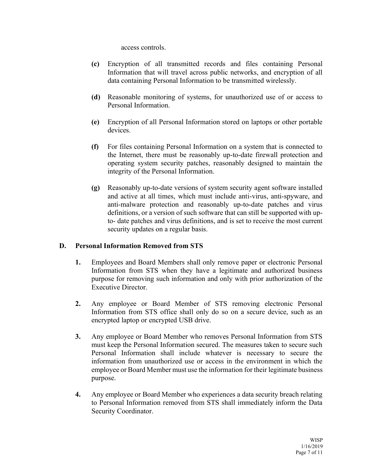access controls.

- **(c)** Encryption of all transmitted records and files containing Personal Information that will travel across public networks, and encryption of all data containing Personal Information to be transmitted wirelessly.
- **(d)** Reasonable monitoring of systems, for unauthorized use of or access to Personal Information.
- **(e)** Encryption of all Personal Information stored on laptops or other portable devices.
- **(f)** For files containing Personal Information on a system that is connected to the Internet, there must be reasonably up-to-date firewall protection and operating system security patches, reasonably designed to maintain the integrity of the Personal Information.
- **(g)** Reasonably up-to-date versions of system security agent software installed and active at all times, which must include anti-virus, anti-spyware, and anti-malware protection and reasonably up-to-date patches and virus definitions, or a version of such software that can still be supported with upto- date patches and virus definitions, and is set to receive the most current security updates on a regular basis.

#### **D. Personal Information Removed from STS**

- **1.** Employees and Board Members shall only remove paper or electronic Personal Information from STS when they have a legitimate and authorized business purpose for removing such information and only with prior authorization of the Executive Director.
- **2.** Any employee or Board Member of STS removing electronic Personal Information from STS office shall only do so on a secure device, such as an encrypted laptop or encrypted USB drive.
- **3.** Any employee or Board Member who removes Personal Information from STS must keep the Personal Information secured. The measures taken to secure such Personal Information shall include whatever is necessary to secure the information from unauthorized use or access in the environment in which the employee or Board Member must use the information for their legitimate business purpose.
- **4.** Any employee or Board Member who experiences a data security breach relating to Personal Information removed from STS shall immediately inform the Data Security Coordinator.